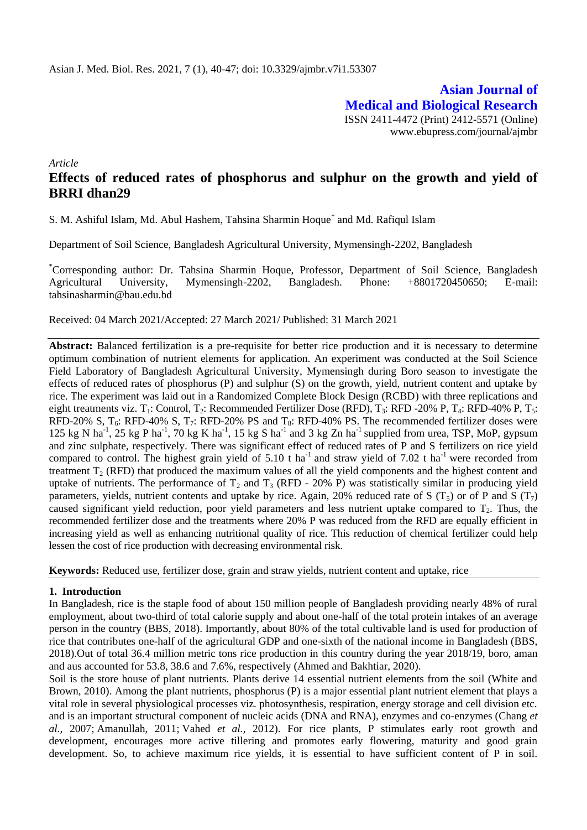**Asian Journal of Medical and Biological Research** ISSN 2411-4472 (Print) 2412-5571 (Online) www.ebupress.com/journal/ajmbr

*Article*

# **Effects of reduced rates of phosphorus and sulphur on the growth and yield of BRRI dhan29**

S. M. Ashiful Islam, Md. Abul Hashem, Tahsina Sharmin Hoque<sup>\*</sup> and Md. Rafiqul Islam

Department of Soil Science, Bangladesh Agricultural University, Mymensingh-2202, Bangladesh

\*Corresponding author: Dr. Tahsina Sharmin Hoque, Professor, Department of Soil Science, Bangladesh Agricultural University, Mymensingh-2202, Bangladesh. Phone: +8801720450650; E-mail: tahsinasharmin@bau.edu.bd

Received: 04 March 2021/Accepted: 27 March 2021/ Published: 31 March 2021

**Abstract:** Balanced fertilization is a pre-requisite for better rice production and it is necessary to determine optimum combination of nutrient elements for application. An experiment was conducted at the Soil Science Field Laboratory of Bangladesh Agricultural University, Mymensingh during Boro season to investigate the effects of reduced rates of phosphorus (P) and sulphur (S) on the growth, yield, nutrient content and uptake by rice. The experiment was laid out in a Randomized Complete Block Design (RCBD) with three replications and eight treatments viz. T<sub>1</sub>: Control, T<sub>2</sub>: Recommended Fertilizer Dose (RFD), T<sub>3</sub>: RFD -20% P, T<sub>4</sub>: RFD-40% P, T<sub>5</sub>: RFD-20% S,  $T_6$ : RFD-40% S,  $T_7$ : RFD-20% PS and  $T_8$ : RFD-40% PS. The recommended fertilizer doses were 125 kg N ha<sup>-1</sup>, 25 kg P ha<sup>-1</sup>, 70 kg K ha<sup>-1</sup>, 15 kg S ha<sup>-1</sup> and 3 kg Zn ha<sup>-1</sup> supplied from urea, TSP, MoP, gypsum and zinc sulphate, respectively. There was significant effect of reduced rates of P and S fertilizers on rice yield compared to control. The highest grain yield of  $5.10$  t ha<sup>-1</sup> and straw yield of  $7.02$  t ha<sup>-1</sup> were recorded from treatment  $T<sub>2</sub>$  (RFD) that produced the maximum values of all the yield components and the highest content and uptake of nutrients. The performance of  $T_2$  and  $T_3$  (RFD - 20% P) was statistically similar in producing yield parameters, yields, nutrient contents and uptake by rice. Again, 20% reduced rate of S ( $T_5$ ) or of P and S ( $T_7$ ) caused significant yield reduction, poor yield parameters and less nutrient uptake compared to  $T_2$ . Thus, the recommended fertilizer dose and the treatments where 20% P was reduced from the RFD are equally efficient in increasing yield as well as enhancing nutritional quality of rice. This reduction of chemical fertilizer could help lessen the cost of rice production with decreasing environmental risk.

**Keywords:** Reduced use, fertilizer dose, grain and straw yields, nutrient content and uptake, rice

# **1. Introduction**

In Bangladesh, rice is the staple food of about 150 million people of Bangladesh providing nearly 48% of rural employment, about two-third of total calorie supply and about one-half of the total protein intakes of an average person in the country (BBS, 2018). Importantly, about 80% of the total cultivable land is used for production of rice that contributes one-half of the agricultural GDP and one-sixth of the national income in Bangladesh (BBS, 2018).Out of total 36.4 million metric tons rice production in this country during the year 2018/19, boro, aman and aus accounted for 53.8, 38.6 and 7.6%, respectively (Ahmed and Bakhtiar, 2020).

Soil is the store house of plant nutrients. Plants derive 14 essential nutrient elements from the soil (White and Brown, 2010). Among the plant nutrients, phosphorus (P) is a major essential plant nutrient element that plays a vital role in several physiological processes viz. photosynthesis, respiration, energy storage and cell division etc. and is an important structural component of nucleic acids (DNA and RNA), enzymes and co-enzymes [\(Chang](https://www.frontiersin.org/articles/10.3389/fpls.2016.01440/full#B33) *et al.,* [2007;](https://www.frontiersin.org/articles/10.3389/fpls.2016.01440/full#B33) [Amanullah, 2011;](https://www.frontiersin.org/articles/10.3389/fpls.2016.01440/full#B5) [Vahed](https://www.frontiersin.org/articles/10.3389/fpls.2016.01440/full#B84) *et al.,* 2012). For rice plants, P stimulates early root growth and development, encourages more active tillering and promotes early flowering, maturity and good grain development. So, to achieve maximum rice yields, it is essential to have sufficient content of P in soil.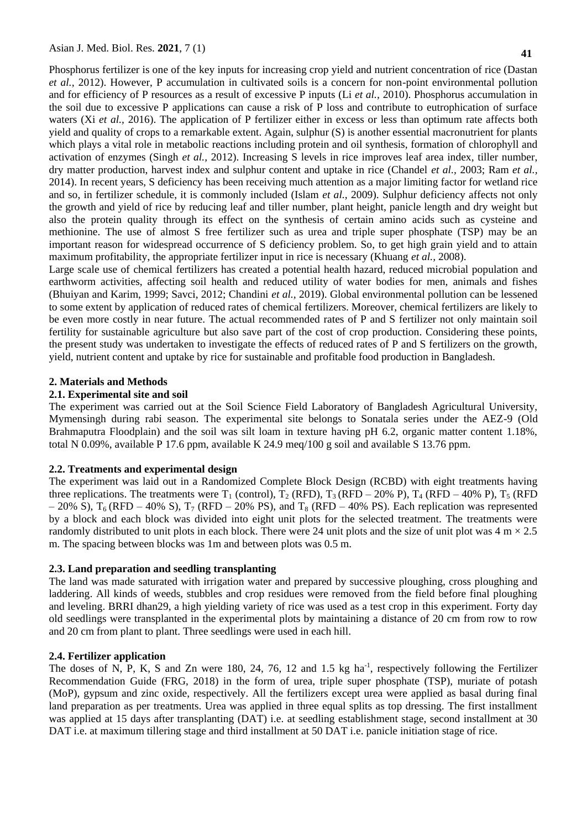Phosphorus fertilizer is one of the key inputs for increasing crop yield and nutrient concentration of rice (Dastan *et al.,* 2012). However, P accumulation in cultivated soils is a concern for non-point environmental pollution and for efficiency of P resources as a result of excessive P inputs (Li *et al.,* 2010). Phosphorus accumulation in the soil due to excessive P applications can cause a risk of P loss and contribute to eutrophication of surface waters (Xi *et al.*, 2016). The application of P fertilizer either in excess or less than optimum rate affects both yield and quality of crops to a remarkable extent. Again, sulphur (S) is another essential macronutrient for plants which plays a vital role in metabolic reactions including protein and oil synthesis, formation of chlorophyll and activation of enzymes (Singh *et al.,* 2012). Increasing S levels in rice improves leaf area index, tiller number, dry matter production, harvest index and sulphur content and uptake in rice (Chandel *et al.,* 2003; Ram *et al.,* 2014). In recent years, S deficiency has been receiving much attention as a major limiting factor for wetland rice and so, in fertilizer schedule, it is commonly included (Islam *et al.,* 2009). Sulphur deficiency affects not only the growth and yield of rice by reducing leaf and tiller number, plant height, panicle length and dry weight but also the protein quality through its effect on the synthesis of certain amino acids such as cysteine and methionine. The use of almost S free fertilizer such as urea and triple super phosphate (TSP) may be an important reason for widespread occurrence of S deficiency problem. So, to get high grain yield and to attain maximum profitability, the appropriate fertilizer input in rice is necessary (Khuang *et al.,* 2008).

Large scale use of chemical fertilizers has created a potential health hazard, reduced microbial population and earthworm activities, affecting soil health and reduced utility of water bodies for men, animals and fishes (Bhuiyan and Karim, 1999; Savci, 2012; Chandini *et al.,* 2019). Global environmental pollution can be lessened to some extent by application of reduced rates of chemical fertilizers. Moreover, chemical fertilizers are likely to be even more costly in near future. The actual recommended rates of P and S fertilizer not only maintain soil fertility for sustainable agriculture but also save part of the cost of crop production. Considering these points, the present study was undertaken to investigate the effects of reduced rates of P and S fertilizers on the growth, yield, nutrient content and uptake by rice for sustainable and profitable food production in Bangladesh.

# **2. Materials and Methods**

# **2.1. Experimental site and soil**

The experiment was carried out at the Soil Science Field Laboratory of Bangladesh Agricultural University, Mymensingh during rabi season. The experimental site belongs to Sonatala series under the AEZ-9 (Old Brahmaputra Floodplain) and the soil was silt loam in texture having pH 6.2, organic matter content 1.18%, total N 0.09%, available P 17.6 ppm, available K 24.9 meq/100 g soil and available S 13.76 ppm.

# **2.2. Treatments and experimental design**

The experiment was laid out in a Randomized Complete Block Design (RCBD) with eight treatments having three replications. The treatments were  $T_1$  (control),  $T_2$  (RFD),  $T_3$  (RFD – 20% P),  $T_4$  (RFD – 40% P),  $T_5$  (RFD  $-20\%$  S), T<sub>6</sub> (RFD – 40% S), T<sub>7</sub> (RFD – 20% PS), and T<sub>8</sub> (RFD – 40% PS). Each replication was represented by a block and each block was divided into eight unit plots for the selected treatment. The treatments were randomly distributed to unit plots in each block. There were 24 unit plots and the size of unit plot was  $4 \text{ m} \times 2.5$ m. The spacing between blocks was 1m and between plots was 0.5 m.

# **2.3. Land preparation and seedling transplanting**

The land was made saturated with irrigation water and prepared by successive ploughing, cross ploughing and laddering. All kinds of weeds, stubbles and crop residues were removed from the field before final ploughing and leveling. BRRI dhan29, a high yielding variety of rice was used as a test crop in this experiment. Forty day old seedlings were transplanted in the experimental plots by maintaining a distance of 20 cm from row to row and 20 cm from plant to plant. Three seedlings were used in each hill.

# **2.4. Fertilizer application**

The doses of N, P, K, S and Zn were 180, 24, 76, 12 and 1.5 kg ha<sup>-1</sup>, respectively following the Fertilizer Recommendation Guide (FRG, 2018) in the form of urea, triple super phosphate (TSP), muriate of potash (MoP), gypsum and zinc oxide, respectively. All the fertilizers except urea were applied as basal during final land preparation as per treatments. Urea was applied in three equal splits as top dressing. The first installment was applied at 15 days after transplanting (DAT) i.e. at seedling establishment stage, second installment at 30 DAT i.e. at maximum tillering stage and third installment at 50 DAT i.e. panicle initiation stage of rice.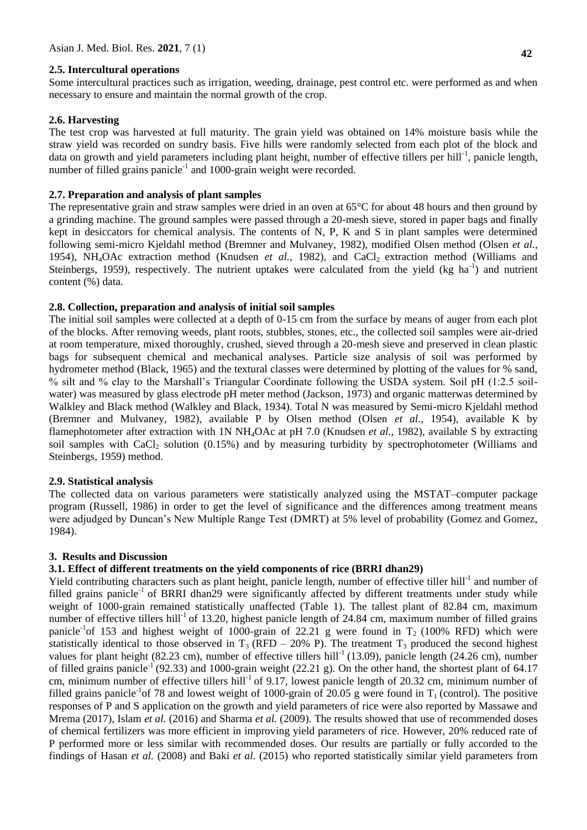#### **2.5. Intercultural operations**

Some intercultural practices such as irrigation, weeding, drainage, pest control etc. were performed as and when necessary to ensure and maintain the normal growth of the crop.

#### **2.6. Harvesting**

The test crop was harvested at full maturity. The grain yield was obtained on 14% moisture basis while the straw yield was recorded on sundry basis. Five hills were randomly selected from each plot of the block and data on growth and yield parameters including plant height, number of effective tillers per hill<sup>-1</sup>, panicle length, number of filled grains panicle<sup>-1</sup> and 1000-grain weight were recorded.

#### **2.7. Preparation and analysis of plant samples**

The representative grain and straw samples were dried in an oven at 65<sup>o</sup>C for about 48 hours and then ground by a grinding machine. The ground samples were passed through a 20-mesh sieve, stored in paper bags and finally kept in desiccators for chemical analysis. The contents of N, P, K and S in plant samples were determined following semi-micro Kjeldahl method (Bremner and Mulvaney, 1982), modified Olsen method (Olsen *et al.,* 1954), NH<sub>4</sub>OAc extraction method (Knudsen *et al.*, 1982), and CaCl<sub>2</sub> extraction method (Williams and Steinbergs, 1959), respectively. The nutrient uptakes were calculated from the yield (kg ha<sup>-1</sup>) and nutrient content (%) data.

#### **2.8. Collection, preparation and analysis of initial soil samples**

The initial soil samples were collected at a depth of 0-15 cm from the surface by means of auger from each plot of the blocks. After removing weeds, plant roots, stubbles, stones, etc., the collected soil samples were air-dried at room temperature, mixed thoroughly, crushed, sieved through a 20-mesh sieve and preserved in clean plastic bags for subsequent chemical and mechanical analyses. Particle size analysis of soil was performed by hydrometer method (Black, 1965) and the textural classes were determined by plotting of the values for % sand, % silt and % clay to the Marshall's Triangular Coordinate following the USDA system. Soil pH (1:2.5 soilwater) was measured by glass electrode pH meter method (Jackson, 1973) and organic matterwas determined by Walkley and Black method (Walkley and Black, 1934). Total N was measured by Semi-micro Kjeldahl method (Bremner and Mulvaney, 1982), available P by Olsen method (Olsen *et al.*, 1954), available K by flamephotometer after extraction with 1N NH4OAc at pH 7.0 (Knudsen *et al.*, 1982), available S by extracting soil samples with  $CaCl<sub>2</sub>$  solution (0.15%) and by measuring turbidity by spectrophotometer (Williams and Steinbergs, 1959) method.

#### **2.9. Statistical analysis**

The collected data on various parameters were statistically analyzed using the MSTAT–computer package program (Russell, 1986) in order to get the level of significance and the differences among treatment means were adjudged by Duncan's New Multiple Range Test (DMRT) at 5% level of probability (Gomez and Gomez, 1984).

### **3. Results and Discussion**

# **3.1. Effect of different treatments on the yield components of rice (BRRI dhan29)**

Yield contributing characters such as plant height, panicle length, number of effective tiller hill<sup>-1</sup> and number of filled grains panicle<sup>-1</sup> of BRRI dhan29 were significantly affected by different treatments under study while weight of 1000-grain remained statistically unaffected (Table 1). The tallest plant of 82.84 cm, maximum number of effective tillers hill<sup>-1</sup> of 13.20, highest panicle length of 24.84 cm, maximum number of filled grains panicle<sup>-1</sup>of 153 and highest weight of 1000-grain of 22.21 g were found in  $T_2$  (100% RFD) which were statistically identical to those observed in  $T_3$  (RFD – 20% P). The treatment  $T_3$  produced the second highest values for plant height (82.23 cm), number of effective tillers hill<sup>-1</sup> (13.09), panicle length (24.26 cm), number of filled grains panicle<sup>-1</sup> (92.33) and 1000-grain weight (22.21 g). On the other hand, the shortest plant of 64.17 cm, minimum number of effective tillers hill<sup>-1</sup> of 9.17, lowest panicle length of 20.32 cm, minimum number of filled grains panicle<sup>-1</sup> of 78 and lowest weight of 1000-grain of 20.05 g were found in  $T_1$  (control). The positive responses of P and S application on the growth and yield parameters of rice were also reported by Massawe and Mrema (2017), Islam *et al.* (2016) and Sharma *et al.* (2009). The results showed that use of recommended doses of chemical fertilizers was more efficient in improving yield parameters of rice. However, 20% reduced rate of P performed more or less similar with recommended doses. Our results are partially or fully accorded to the findings of Hasan *et al.* (2008) and Baki *et al.* (2015) who reported statistically similar yield parameters from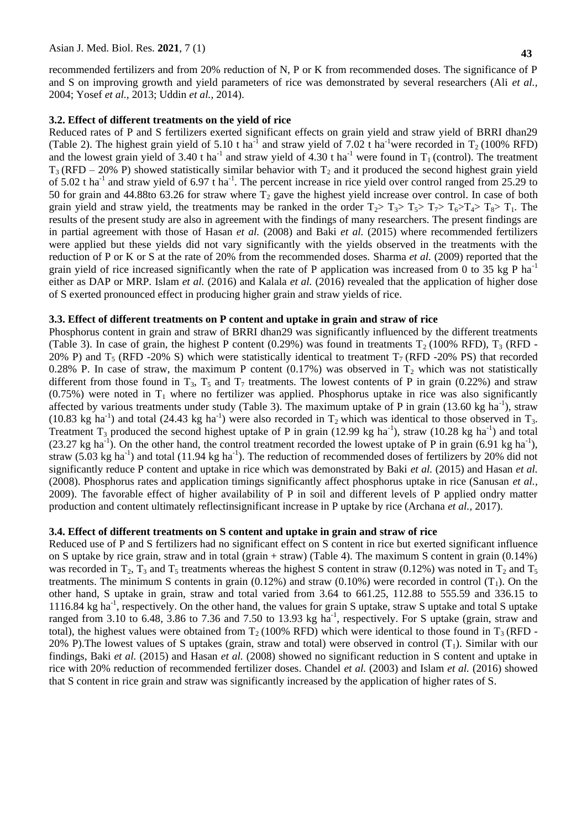recommended fertilizers and from 20% reduction of N, P or K from recommended doses. The significance of P and S on improving growth and yield parameters of rice was demonstrated by several researchers (Ali *et al.,* 2004; Yosef *et al.,* 2013; Uddin *et al.,* 2014).

#### **3.2. Effect of different treatments on the yield of rice**

Reduced rates of P and S fertilizers exerted significant effects on grain yield and straw yield of BRRI dhan29 (Table 2). The highest grain yield of 5.10 t ha<sup>-1</sup> and straw yield of 7.02 t ha<sup>-1</sup>were recorded in T<sub>2</sub> (100% RFD) and the lowest grain yield of 3.40 t ha<sup>-1</sup> and straw yield of 4.30 t ha<sup>-1</sup> were found in  $T_1$  (control). The treatment  $T_3$  (RFD – 20% P) showed statistically similar behavior with  $T_2$  and it produced the second highest grain yield of 5.02 t ha<sup>-1</sup> and straw yield of 6.97 t ha<sup>-1</sup>. The percent increase in rice yield over control ranged from 25.29 to 50 for grain and 44.88to 63.26 for straw where  $T_2$  gave the highest yield increase over control. In case of both grain yield and straw yield, the treatments may be ranked in the order  $T_2 > T_3 > T_5 > T_7 > T_6 > T_4 > T_8 > T_1$ . The results of the present study are also in agreement with the findings of many researchers. The present findings are in partial agreement with those of Hasan *et al.* (2008) and Baki *et al.* (2015) where recommended fertilizers were applied but these yields did not vary significantly with the yields observed in the treatments with the reduction of P or K or S at the rate of 20% from the recommended doses. Sharma *et al.* (2009) reported that the grain yield of rice increased significantly when the rate of P application was increased from 0 to 35 kg P ha<sup>-1</sup> either as DAP or MRP. Islam *et al.* (2016) and Kalala *et al.* (2016) revealed that the application of higher dose of S exerted pronounced effect in producing higher grain and straw yields of rice.

#### **3.3. Effect of different treatments on P content and uptake in grain and straw of rice**

Phosphorus content in grain and straw of BRRI dhan29 was significantly influenced by the different treatments (Table 3). In case of grain, the highest P content (0.29%) was found in treatments  $T_2$  (100% RFD),  $T_3$  (RFD -20% P) and T<sub>5</sub> (RFD -20% S) which were statistically identical to treatment  $T_7$  (RFD -20% PS) that recorded 0.28% P. In case of straw, the maximum P content (0.17%) was observed in  $T_2$  which was not statistically different from those found in  $T_3$ ,  $T_5$  and  $T_7$  treatments. The lowest contents of P in grain (0.22%) and straw  $(0.75\%)$  were noted in T<sub>1</sub> where no fertilizer was applied. Phosphorus uptake in rice was also significantly affected by various treatments under study (Table 3). The maximum uptake of P in grain (13.60 kg ha<sup>-1</sup>), straw (10.83 kg ha<sup>-1</sup>) and total (24.43 kg ha<sup>-1</sup>) were also recorded in  $T_2$  which was identical to those observed in  $T_3$ . Treatment T<sub>3</sub> produced the second highest uptake of P in grain (12.99 kg ha<sup>-1</sup>), straw (10.28 kg ha<sup>-1</sup>) and total  $(23.27 \text{ kg ha}^{-1})$ . On the other hand, the control treatment recorded the lowest uptake of P in grain  $(6.91 \text{ kg ha}^{-1})$ , straw (5.03 kg ha<sup>-1</sup>) and total (11.94 kg ha<sup>-1</sup>). The reduction of recommended doses of fertilizers by 20% did not significantly reduce P content and uptake in rice which was demonstrated by Baki *et al.* (2015) and Hasan *et al.* (2008). Phosphorus rates and application timings significantly affect phosphorus uptake in rice (Sanusan *et al.,* 2009). The favorable effect of higher availability of P in soil and different levels of P applied ondry matter production and content ultimately reflectinsignificant increase in P uptake by rice (Archana *et al.,* 2017).

#### **3.4. Effect of different treatments on S content and uptake in grain and straw of rice**

Reduced use of P and S fertilizers had no significant effect on S content in rice but exerted significant influence on S uptake by rice grain, straw and in total (grain + straw) (Table 4). The maximum S content in grain  $(0.14\%)$ was recorded in  $T_2$ ,  $T_3$  and  $T_5$  treatments whereas the highest S content in straw (0.12%) was noted in  $T_2$  and  $T_5$ treatments. The minimum S contents in grain  $(0.12%)$  and straw  $(0.10%)$  were recorded in control  $(T_1)$ . On the other hand, S uptake in grain, straw and total varied from 3.64 to 661.25, 112.88 to 555.59 and 336.15 to 1116.84 kg ha<sup>-1</sup>, respectively. On the other hand, the values for grain S uptake, straw S uptake and total S uptake ranged from 3.10 to 6.48, 3.86 to 7.36 and 7.50 to 13.93 kg ha<sup>-1</sup>, respectively. For S uptake (grain, straw and total), the highest values were obtained from  $T_2$  (100% RFD) which were identical to those found in  $T_3$  (RFD -20% P). The lowest values of S uptakes (grain, straw and total) were observed in control  $(T_1)$ . Similar with our findings, Baki *et al.* (2015) and Hasan *et al.* (2008) showed no significant reduction in S content and uptake in rice with 20% reduction of recommended fertilizer doses. Chandel *et al.* (2003) and Islam *et al.* (2016) showed that S content in rice grain and straw was significantly increased by the application of higher rates of S.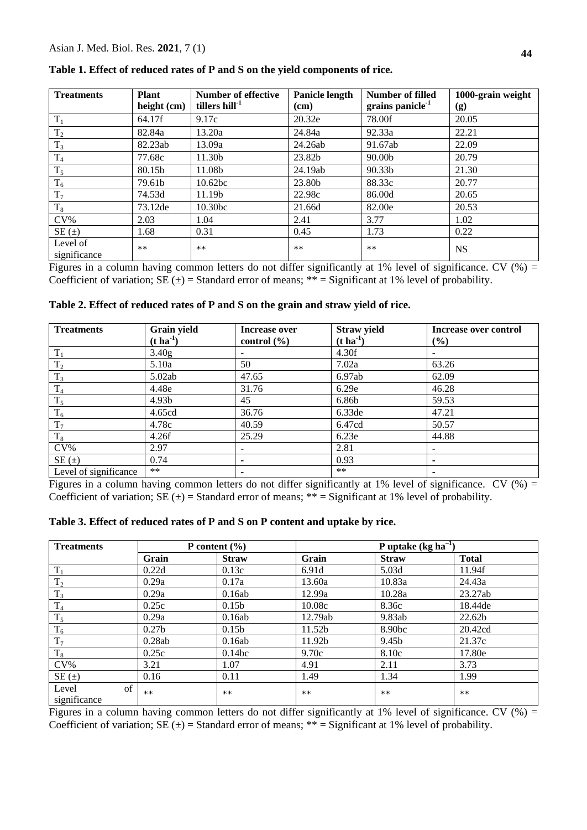| <b>Treatments</b>        | <b>Plant</b><br>height $(cm)$ | <b>Number of effective</b><br>tillers hill <sup>-1</sup> | Panicle length | Number of filled<br>grains panicle <sup>-1</sup> | 1000-grain weight |
|--------------------------|-------------------------------|----------------------------------------------------------|----------------|--------------------------------------------------|-------------------|
|                          |                               |                                                          | (cm)           |                                                  | (g)               |
| $T_1$                    | 64.17f                        | 9.17c                                                    | 20.32e         | 78.00f                                           | 20.05             |
| $T_2$                    | 82.84a                        | 13.20a                                                   | 24.84a         | 92.33a                                           | 22.21             |
| $T_3$                    | 82.23ab                       | 13.09a                                                   | 24.26ab        | 91.67ab                                          | 22.09             |
| T <sub>4</sub>           | 77.68c                        | 11.30b                                                   | 23.82b         | 90.00 <sub>b</sub>                               | 20.79             |
| $T_5$                    | 80.15b                        | 11.08b                                                   | 24.19ab        | 90.33b                                           | 21.30             |
| $T_6$                    | 79.61b                        | 10.62 <sub>bc</sub>                                      | 23.80b         | 88.33c                                           | 20.77             |
| $T_7$                    | 74.53d                        | 11.19b                                                   | 22.98c         | 86.00d                                           | 20.65             |
| $T_8$                    | 73.12de                       | 10.30bc                                                  | 21.66d         | 82.00e                                           | 20.53             |
| $CV\%$                   | 2.03                          | 1.04                                                     | 2.41           | 3.77                                             | 1.02              |
| $SE(\pm)$                | 1.68                          | 0.31                                                     | 0.45           | 1.73                                             | 0.22              |
| Level of<br>significance | $***$                         | $***$                                                    | $***$          | $***$                                            | <b>NS</b>         |

**Table 1. Effect of reduced rates of P and S on the yield components of rice.**

Figures in a column having common letters do not differ significantly at 1% level of significance. CV  $(\%)$  = Coefficient of variation;  $SE(\pm) = Standard$  error of means; \*\* = Significant at 1% level of probability.

| <b>Treatments</b>     | Grain yield             | Increase over   | <b>Straw yield</b>      | <b>Increase over control</b> |
|-----------------------|-------------------------|-----------------|-------------------------|------------------------------|
|                       | $(t \, \text{ha}^{-1})$ | control $(\% )$ | $(t \, \text{ha}^{-1})$ | (%)                          |
| $T_1$                 | 3.40g                   |                 | 4.30f                   |                              |
| $\rm T_2$             | 5.10a                   | 50              | 7.02a                   | 63.26                        |
| $T_3$                 | 5.02ab                  | 47.65           | 6.97ab                  | 62.09                        |
| T <sub>4</sub>        | 4.48e                   | 31.76           | 6.29e                   | 46.28                        |
| $T_5$                 | 4.93 <sub>b</sub>       | 45              | 6.86b                   | 59.53                        |
| $T_6$                 | 4.65cd                  | 36.76           | 6.33de                  | 47.21                        |
| $T_7$                 | 4.78c                   | 40.59           | 6.47cd                  | 50.57                        |
| $\rm T_8$             | 4.26f                   | 25.29           | 6.23e                   | 44.88                        |
| $CV\%$                | 2.97                    |                 | 2.81                    |                              |
| $SE(\pm)$             | 0.74                    |                 | 0.93                    |                              |
| Level of significance | $***$                   |                 | $**$                    |                              |

**Table 2. Effect of reduced rates of P and S on the grain and straw yield of rice.**

Figures in a column having common letters do not differ significantly at 1% level of significance. CV  $(\%)$  = Coefficient of variation;  $SE(\pm) = Standard$  error of means; \*\* = Significant at 1% level of probability.

|  |  | Table 3. Effect of reduced rates of P and S on P content and uptake by rice. |
|--|--|------------------------------------------------------------------------------|
|--|--|------------------------------------------------------------------------------|

| <b>Treatments</b>           | P content $(\% )$ |                   | P uptake $(kg ha^{-1})$ |              |              |
|-----------------------------|-------------------|-------------------|-------------------------|--------------|--------------|
|                             | Grain             | <b>Straw</b>      | Grain                   | <b>Straw</b> | <b>Total</b> |
| $T_1$                       | 0.22d             | 0.13c             | 6.91d                   | 5.03d        | 11.94f       |
| $T_2$                       | 0.29a             | 0.17a             | 13.60a                  | 10.83a       | 24.43a       |
| $T_3$                       | 0.29a             | 0.16ab            | 12.99a                  | 10.28a       | 23.27ab      |
| $\rm T_4$                   | 0.25c             | 0.15 <sub>b</sub> | 10.08c                  | 8.36c        | 18.44 de     |
| $T_5$                       | 0.29a             | 0.16ab            | 12.79ab                 | 9.83ab       | 22.62b       |
| $T_6$                       | 0.27 <sub>b</sub> | 0.15 <sub>b</sub> | 11.52b                  | 8.90bc       | 20.42cd      |
| $T_7$                       | 0.28ab            | 0.16ab            | 11.92b                  | 9.45b        | 21.37c       |
| $T_8$                       | 0.25c             | 0.14bc            | 9.70c                   | 8.10c        | 17.80e       |
| $CV\%$                      | 3.21              | 1.07              | 4.91                    | 2.11         | 3.73         |
| $SE(\pm)$                   | 0.16              | 0.11              | 1.49                    | 1.34         | 1.99         |
| of<br>Level<br>significance | $***$             | $***$             | $***$                   | $***$        | $***$        |

Figures in a column having common letters do not differ significantly at 1% level of significance. CV  $(\%)$  = Coefficient of variation;  $SE(\pm) = Standard$  error of means; \*\* = Significant at 1% level of probability.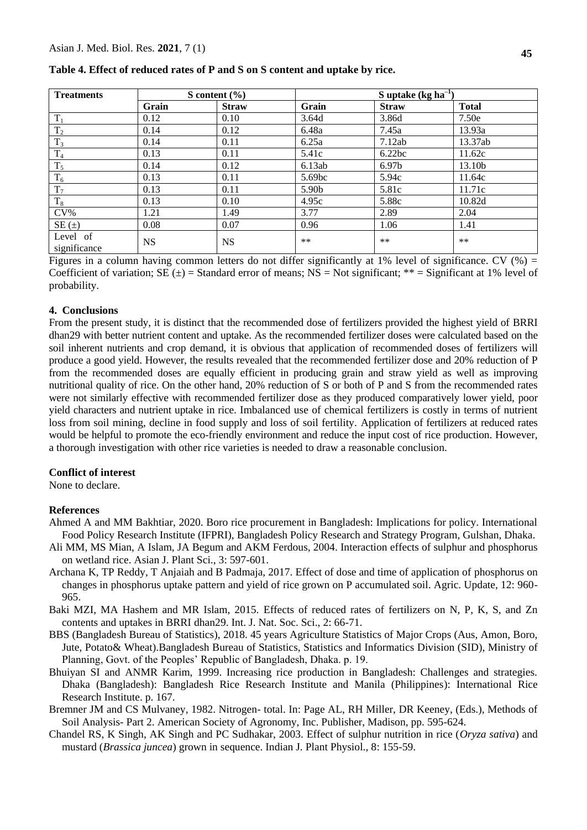| <b>Treatments</b>        | S content $(\% )$ |              |                   | S uptake $(kg ha^{-1})$ |              |  |
|--------------------------|-------------------|--------------|-------------------|-------------------------|--------------|--|
|                          | Grain             | <b>Straw</b> | Grain             | <b>Straw</b>            | <b>Total</b> |  |
| $T_1$                    | 0.12              | 0.10         | 3.64d             | 3.86d                   | 7.50e        |  |
| $T_2$                    | 0.14              | 0.12         | 6.48a             | 7.45a                   | 13.93a       |  |
| $T_3$                    | 0.14              | 0.11         | 6.25a             | 7.12ab                  | 13.37ab      |  |
| $\mathrm{T}_4$           | 0.13              | 0.11         | 5.41c             | 6.22bc                  | 11.62c       |  |
| $T_5$                    | 0.14              | 0.12         | 6.13ab            | 6.97 <sub>b</sub>       | 13.10b       |  |
| $T_6$                    | 0.13              | 0.11         | 5.69bc            | 5.94c                   | 11.64c       |  |
| $T_7$                    | 0.13              | 0.11         | 5.90 <sub>b</sub> | 5.81c                   | 11.71c       |  |
| $\rm T_8$                | 0.13              | 0.10         | 4.95c             | 5.88c                   | 10.82d       |  |
| $CV\%$                   | 1.21              | 1.49         | 3.77              | 2.89                    | 2.04         |  |
| $SE(\pm)$                | 0.08              | 0.07         | 0.96              | 1.06                    | 1.41         |  |
| Level of<br>significance | <b>NS</b>         | NS           | $***$             | $***$                   | $***$        |  |

**Table 4. Effect of reduced rates of P and S on S content and uptake by rice.**

Figures in a column having common letters do not differ significantly at 1% level of significance. CV  $(\%)$  = Coefficient of variation;  $SE(\pm)$  = Standard error of means; NS = Not significant; \*\* = Significant at 1% level of probability.

# **4. Conclusions**

From the present study, it is distinct that the recommended dose of fertilizers provided the highest yield of BRRI dhan29 with better nutrient content and uptake. As the recommended fertilizer doses were calculated based on the soil inherent nutrients and crop demand, it is obvious that application of recommended doses of fertilizers will produce a good yield. However, the results revealed that the recommended fertilizer dose and 20% reduction of P from the recommended doses are equally efficient in producing grain and straw yield as well as improving nutritional quality of rice. On the other hand, 20% reduction of S or both of P and S from the recommended rates were not similarly effective with recommended fertilizer dose as they produced comparatively lower yield, poor yield characters and nutrient uptake in rice. Imbalanced use of chemical fertilizers is costly in terms of nutrient loss from soil mining, decline in food supply and loss of soil fertility. Application of fertilizers at reduced rates would be helpful to promote the eco-friendly environment and reduce the input cost of rice production. However, a thorough investigation with other rice varieties is needed to draw a reasonable conclusion.

#### **Conflict of interest**

None to declare.

#### **References**

- Ahmed A and MM Bakhtiar, 2020. Boro rice procurement in Bangladesh: Implications for policy. International Food Policy Research Institute (IFPRI), Bangladesh Policy Research and Strategy Program, Gulshan, Dhaka.
- Ali MM, MS Mian, A Islam, JA Begum and AKM Ferdous, 2004. Interaction effects of sulphur and phosphorus on wetland rice. Asian J. Plant Sci., 3: 597-601.
- Archana K, TP Reddy, T Anjaiah and B Padmaja, 2017. Effect of dose and time of application of phosphorus on changes in phosphorus uptake pattern and yield of rice grown on P accumulated soil. Agric. Update, 12: 960- 965.
- Baki MZI, MA Hashem and MR Islam, 2015. Effects of reduced rates of fertilizers on N, P, K, S, and Zn contents and uptakes in BRRI dhan29. Int. J. Nat. Soc. Sci., 2: 66-71.
- BBS (Bangladesh Bureau of Statistics), 2018. 45 years Agriculture Statistics of Major Crops (Aus, Amon, Boro, Jute, Potato& Wheat).Bangladesh Bureau of Statistics, Statistics and Informatics Division (SID), Ministry of Planning, Govt. of the Peoples' Republic of Bangladesh, Dhaka. p. 19.
- Bhuiyan SI and ANMR Karim, 1999. Increasing rice production in Bangladesh: Challenges and strategies. Dhaka (Bangladesh): Bangladesh Rice Research Institute and Manila (Philippines): International Rice Research Institute. p. 167.
- Bremner JM and CS Mulvaney, 1982. Nitrogen- total. In: Page AL, RH Miller, DR Keeney, (Eds.), Methods of Soil Analysis- Part 2. American Society of Agronomy, Inc. Publisher, Madison, pp. 595-624.
- Chandel RS, K Singh, AK Singh and PC Sudhakar, 2003. Effect of sulphur nutrition in rice (*Oryza sativa*) and mustard (*Brassica juncea*) grown in sequence. Indian J. Plant Physiol., 8: 155-59.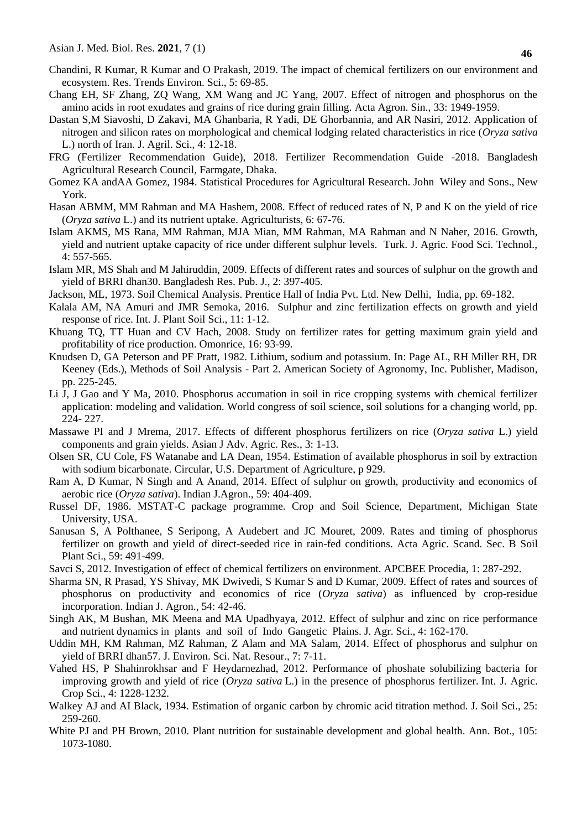- Chandini, R Kumar, R Kumar and O Prakash, 2019. The impact of chemical fertilizers on our environment and ecosystem. Res. Trends Environ. Sci., 5: 69-85.
- Chang EH, SF Zhang, ZQ Wang, XM Wang and JC Yang, 2007. Effect of nitrogen and phosphorus on the amino acids in root exudates and grains of rice during grain filling. Acta Agron. Sin., 33: 1949-1959.
- Dastan S,M Siavoshi, D Zakavi, MA Ghanbaria, R Yadi, DE Ghorbannia, and AR Nasiri, 2012. Application of nitrogen and silicon rates on morphological and chemical lodging related characteristics in rice (*Oryza sativa* L.) north of Iran. J. Agril. Sci., 4: 12-18.
- FRG (Fertilizer Recommendation Guide), 2018. Fertilizer Recommendation Guide -2018. Bangladesh Agricultural Research Council, Farmgate, Dhaka.
- Gomez KA andAA Gomez, 1984. Statistical Procedures for Agricultural Research. John Wiley and Sons., New York.
- Hasan ABMM, MM Rahman and MA Hashem, 2008. Effect of reduced rates of N, P and K on the yield of rice (*Oryza sativa* L.) and its nutrient uptake. Agriculturists, 6: 67-76.
- Islam AKMS, MS Rana, MM Rahman, MJA Mian, MM Rahman, MA Rahman and N Naher, 2016. Growth, yield and nutrient uptake capacity of rice under different sulphur levels. Turk. J. Agric. Food Sci. Technol., 4: 557-565.
- Islam MR, MS Shah and M Jahiruddin, 2009. Effects of different rates and sources of sulphur on the growth and yield of BRRI dhan30. Bangladesh Res. Pub. J., 2: 397-405.
- Jackson, ML, 1973. Soil Chemical Analysis. Prentice Hall of India Pvt. Ltd. New Delhi, India, pp. 69-182.
- Kalala AM, NA Amuri and JMR Semoka, 2016. Sulphur and zinc fertilization effects on growth and yield response of rice. Int. J. Plant Soil Sci., 11: 1-12.
- Khuang TQ, TT Huan and CV Hach, 2008. Study on fertilizer rates for getting maximum grain yield and profitability of rice production. Omonrice, 16: 93-99.
- Knudsen D, GA Peterson and PF Pratt, 1982. Lithium, sodium and potassium. In: Page AL, RH Miller RH, DR Keeney (Eds.), Methods of Soil Analysis - Part 2. American Society of Agronomy, Inc. Publisher, Madison, pp. 225-245.
- Li J, J Gao and Y Ma, 2010. Phosphorus accumation in soil in rice cropping systems with chemical fertilizer application: modeling and validation. World congress of soil science, soil solutions for a changing world, pp. 224- 227.
- Massawe PI and J Mrema, 2017. Effects of different phosphorus fertilizers on rice (*Oryza sativa* L.) yield components and grain yields. Asian J Adv. Agric. Res., 3: 1-13.
- Olsen SR, CU Cole, FS Watanabe and LA Dean, 1954. Estimation of available phosphorus in soil by extraction with sodium bicarbonate. Circular, U.S. Department of Agriculture, p 929.
- Ram A, D Kumar, N Singh and A Anand, 2014. Effect of sulphur on growth, productivity and economics of aerobic rice (*Oryza sativa*). Indian J.Agron., 59: 404-409.
- Russel DF, 1986. MSTAT-C package programme. Crop and Soil Science, Department, Michigan State University, USA.
- Sanusan S, A Polthanee, S Seripong, A Audebert and JC Mouret, 2009. Rates and timing of phosphorus fertilizer on growth and yield of direct-seeded rice in rain-fed conditions. Acta Agric. Scand. Sec. B Soil Plant Sci., 59: 491-499.
- Savci S, 2012. Investigation of effect of chemical fertilizers on environment. APCBEE Procedia, 1: 287-292.
- Sharma SN, R Prasad, YS Shivay, MK Dwivedi, S Kumar S and D Kumar, 2009. Effect of rates and sources of phosphorus on productivity and economics of rice (*Oryza sativa*) as influenced by crop-residue incorporation. Indian J. Agron., 54: 42-46.
- Singh AK, M Bushan, MK Meena and MA Upadhyaya, 2012. Effect of sulphur and zinc on rice performance and nutrient dynamics in plants and soil of Indo Gangetic Plains. J. Agr. Sci., 4: 162-170.
- Uddin MH, KM Rahman, MZ Rahman, Z Alam and MA Salam, 2014. Effect of phosphorus and sulphur on yield of BRRI dhan57. J. Environ. Sci. Nat. Resour., 7: 7-11.
- Vahed HS, P Shahinrokhsar and F Heydarnezhad, 2012. Performance of phoshate solubilizing bacteria for improving growth and yield of rice (*Oryza sativa* L.) in the presence of phosphorus fertilizer. Int. J. Agric. Crop Sci., 4: 1228-1232.
- Walkey AJ and AI Black, 1934. Estimation of organic carbon by chromic acid titration method. J. Soil Sci., 25: 259-260.
- White PJ and PH Brown, 2010. Plant nutrition for sustainable development and global health. Ann. Bot., 105: 1073-1080.